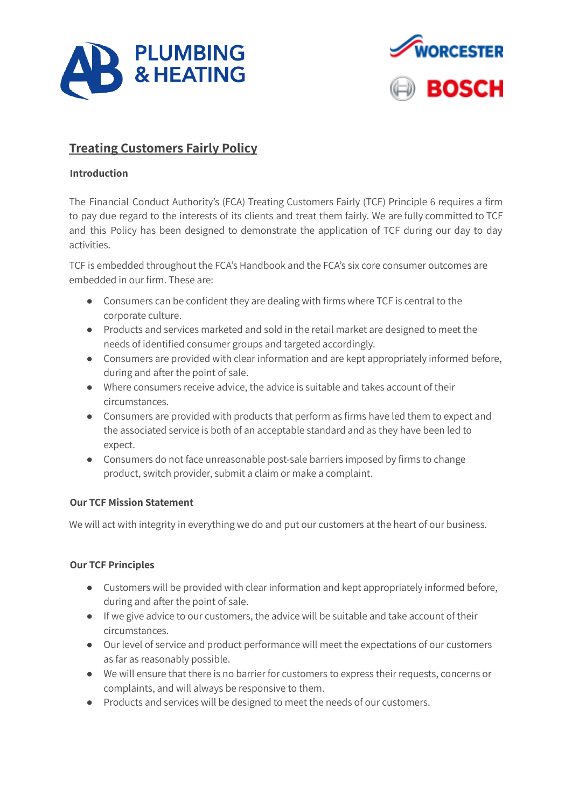



# **Treating Customers Fairly Policy**

# **Introduction**

The Financial Conduct Authority's (FCA) Treating Customers Fairly (TCF) Principle 6 requires a firm to pay due regard to the interests of its clients and treat them fairly. We are fully committed to TCF and this Policy has been designed to demonstrate the application of TCF during our day to day activities.

TCF is embedded throughout the FCA's Handbook and the FCA's six core consumer outcomes are embedded in our firm. These are:

- Consumers can be confident they are dealing with firms where TCF is central to the corporate culture.
- Products and services marketed and sold in the retail market are designed to meet the needs of identified consumer groups and targeted accordingly.
- Consumers are provided with clear information and are kept appropriately informed before, during and after the point of sale.
- Where consumers receive advice, the advice is suitable and takes account of their circumstances.
- Consumers are provided with products that perform as firms have led them to expect and the associated service is both of an acceptable standard and as they have been led to expect.
- Consumers do not face unreasonable post-sale barriers imposed by firms to change product, switch provider, submit a claim or make a complaint.

# **Our TCF Mission Statement**

We will act with integrity in everything we do and put our customers at the heart of our business.

# **Our TCF Principles**

- Customers will be provided with clear information and kept appropriately informed before, during and after the point of sale.
- If we give advice to our customers, the advice will be suitable and take account of their circumstances.
- Our level of service and product performance will meet the expectations of our customers as far as reasonably possible.
- We will ensure that there is no barrier for customers to express their requests, concerns or complaints, and will always be responsive to them.
- Products and services will be designed to meet the needs of our customers.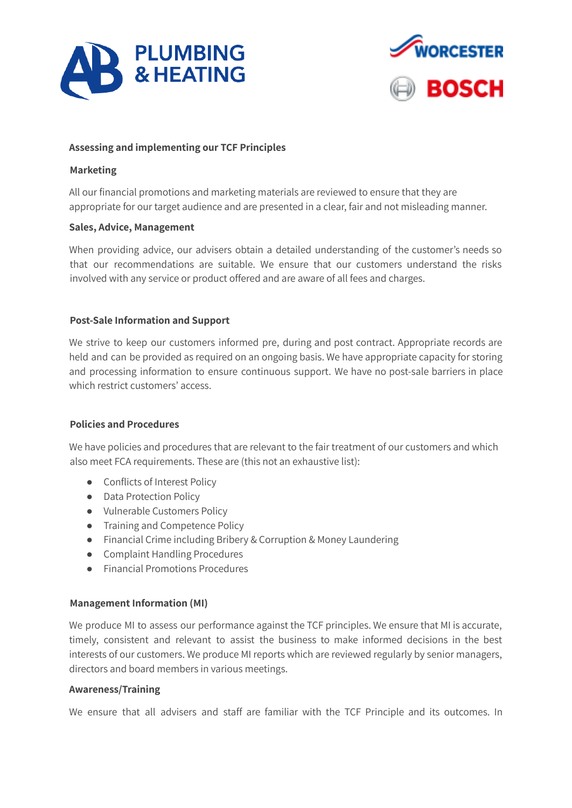



#### **Assessing and implementing our TCF Principles**

#### **Marketing**

All our financial promotions and marketing materials are reviewed to ensure that they are appropriate for our target audience and are presented in a clear, fair and not misleading manner.

#### **Sales, Advice, Management**

When providing advice, our advisers obtain a detailed understanding of the customer's needs so that our recommendations are suitable. We ensure that our customers understand the risks involved with any service or product offered and are aware of all fees and charges.

#### **Post-Sale Information and Support**

We strive to keep our customers informed pre, during and post contract. Appropriate records are held and can be provided as required on an ongoing basis. We have appropriate capacity for storing and processing information to ensure continuous support. We have no post-sale barriers in place which restrict customers' access.

#### **Policies and Procedures**

We have policies and procedures that are relevant to the fair treatment of our customers and which also meet FCA requirements. These are (this not an exhaustive list):

- Conflicts of Interest Policy
- Data Protection Policy
- Vulnerable Customers Policy
- Training and Competence Policy
- Financial Crime including Bribery & Corruption & Money Laundering
- Complaint Handling Procedures
- Financial Promotions Procedures

#### **Management Information (MI)**

We produce MI to assess our performance against the TCF principles. We ensure that MI is accurate, timely, consistent and relevant to assist the business to make informed decisions in the best interests of our customers. We produce MI reports which are reviewed regularly by senior managers, directors and board members in various meetings.

#### **Awareness/Training**

We ensure that all advisers and staff are familiar with the TCF Principle and its outcomes. In